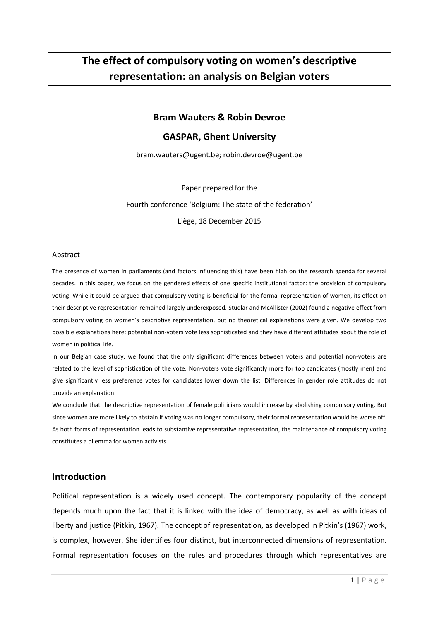# **The effect of compulsory voting on women's descriptive representation: an analysis on Belgian voters**

## **Bram Wauters & Robin Devroe**

# **GASPAR, Ghent University**

bram.wauters@ugent.be; robin.devroe@ugent.be

Paper prepared for the

Fourth conference 'Belgium: The state of the federation' Liège, 18 December 2015

#### Abstract

The presence of women in parliaments (and factors influencing this) have been high on the research agenda for several decades. In this paper, we focus on the gendered effects of one specific institutional factor: the provision of compulsory voting. While it could be argued that compulsory voting is beneficial for the formal representation of women, its effect on their descriptive representation remained largely underexposed. Studlar and McAllister (2002) found a negative effect from compulsory voting on women's descriptive representation, but no theoretical explanations were given. We develop two possible explanations here: potential non-voters vote less sophisticated and they have different attitudes about the role of women in political life.

In our Belgian case study, we found that the only significant differences between voters and potential non-voters are related to the level of sophistication of the vote. Non-voters vote significantly more for top candidates (mostly men) and give significantly less preference votes for candidates lower down the list. Differences in gender role attitudes do not provide an explanation.

We conclude that the descriptive representation of female politicians would increase by abolishing compulsory voting. But since women are more likely to abstain if voting was no longer compulsory, their formal representation would be worse off. As both forms of representation leads to substantive representative representation, the maintenance of compulsory voting constitutes a dilemma for women activists.

## **Introduction**

Political representation is a widely used concept. The contemporary popularity of the concept depends much upon the fact that it is linked with the idea of democracy, as well as with ideas of liberty and justice (Pitkin, 1967). The concept of representation, as developed in Pitkin's (1967) work, is complex, however. She identifies four distinct, but interconnected dimensions of representation. Formal representation focuses on the rules and procedures through which representatives are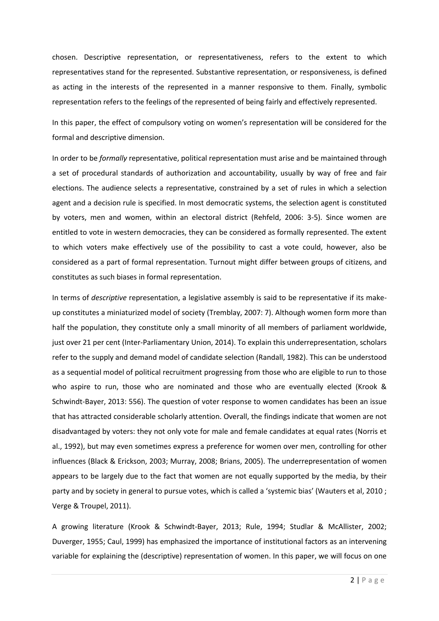chosen. Descriptive representation, or representativeness, refers to the extent to which representatives stand for the represented. Substantive representation, or responsiveness, is defined as acting in the interests of the represented in a manner responsive to them. Finally, symbolic representation refers to the feelings of the represented of being fairly and effectively represented.

In this paper, the effect of compulsory voting on women's representation will be considered for the formal and descriptive dimension.

In order to be *formally* representative, political representation must arise and be maintained through a set of procedural standards of authorization and accountability, usually by way of free and fair elections. The audience selects a representative, constrained by a set of rules in which a selection agent and a decision rule is specified. In most democratic systems, the selection agent is constituted by voters, men and women, within an electoral district (Rehfeld, 2006: 3-5). Since women are entitled to vote in western democracies, they can be considered as formally represented. The extent to which voters make effectively use of the possibility to cast a vote could, however, also be considered as a part of formal representation. Turnout might differ between groups of citizens, and constitutes as such biases in formal representation.

In terms of *descriptive* representation, a legislative assembly is said to be representative if its makeup constitutes a miniaturized model of society (Tremblay, 2007: 7). Although women form more than half the population, they constitute only a small minority of all members of parliament worldwide, just over 21 per cent (Inter-Parliamentary Union, 2014). To explain this underrepresentation, scholars refer to the supply and demand model of candidate selection (Randall, 1982). This can be understood as a sequential model of political recruitment progressing from those who are eligible to run to those who aspire to run, those who are nominated and those who are eventually elected (Krook & Schwindt-Bayer, 2013: 556). The question of voter response to women candidates has been an issue that has attracted considerable scholarly attention. Overall, the findings indicate that women are not disadvantaged by voters: they not only vote for male and female candidates at equal rates (Norris et al., 1992), but may even sometimes express a preference for women over men, controlling for other influences (Black & Erickson, 2003; Murray, 2008; Brians, 2005). The underrepresentation of women appears to be largely due to the fact that women are not equally supported by the media, by their party and by society in general to pursue votes, which is called a 'systemic bias' (Wauters et al, 2010 ; Verge & Troupel, 2011).

A growing literature (Krook & Schwindt-Bayer, 2013; Rule, 1994; Studlar & McAllister, 2002; Duverger, 1955; Caul, 1999) has emphasized the importance of institutional factors as an intervening variable for explaining the (descriptive) representation of women. In this paper, we will focus on one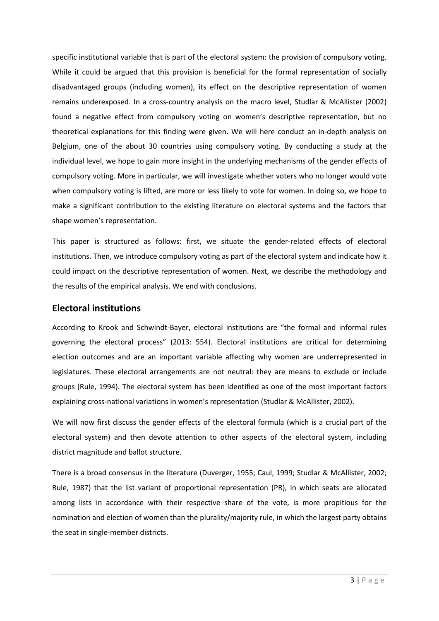specific institutional variable that is part of the electoral system: the provision of compulsory voting. While it could be argued that this provision is beneficial for the formal representation of socially disadvantaged groups (including women), its effect on the descriptive representation of women remains underexposed. In a cross-country analysis on the macro level, Studlar & McAllister (2002) found a negative effect from compulsory voting on women's descriptive representation, but no theoretical explanations for this finding were given. We will here conduct an in-depth analysis on Belgium, one of the about 30 countries using compulsory voting. By conducting a study at the individual level, we hope to gain more insight in the underlying mechanisms of the gender effects of compulsory voting. More in particular, we will investigate whether voters who no longer would vote when compulsory voting is lifted, are more or less likely to vote for women. In doing so, we hope to make a significant contribution to the existing literature on electoral systems and the factors that shape women's representation.

This paper is structured as follows: first, we situate the gender-related effects of electoral institutions. Then, we introduce compulsory voting as part of the electoral system and indicate how it could impact on the descriptive representation of women. Next, we describe the methodology and the results of the empirical analysis. We end with conclusions.

# **Electoral institutions**

According to Krook and Schwindt-Bayer, electoral institutions are "the formal and informal rules governing the electoral process" (2013: 554). Electoral institutions are critical for determining election outcomes and are an important variable affecting why women are underrepresented in legislatures. These electoral arrangements are not neutral: they are means to exclude or include groups (Rule, 1994). The electoral system has been identified as one of the most important factors explaining cross-national variations in women's representation (Studlar & McAllister, 2002).

We will now first discuss the gender effects of the electoral formula (which is a crucial part of the electoral system) and then devote attention to other aspects of the electoral system, including district magnitude and ballot structure.

There is a broad consensus in the literature (Duverger, 1955; Caul, 1999; Studlar & McAllister, 2002; Rule, 1987) that the list variant of proportional representation (PR), in which seats are allocated among lists in accordance with their respective share of the vote, is more propitious for the nomination and election of women than the plurality/majority rule, in which the largest party obtains the seat in single-member districts.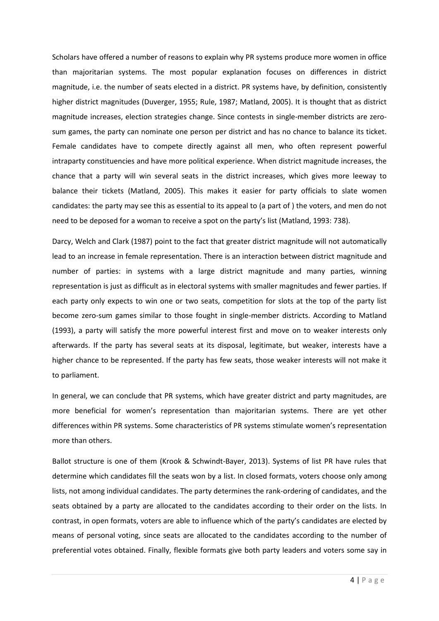Scholars have offered a number of reasons to explain why PR systems produce more women in office than majoritarian systems. The most popular explanation focuses on differences in district magnitude, i.e. the number of seats elected in a district. PR systems have, by definition, consistently higher district magnitudes (Duverger, 1955; Rule, 1987; Matland, 2005). It is thought that as district magnitude increases, election strategies change. Since contests in single-member districts are zerosum games, the party can nominate one person per district and has no chance to balance its ticket. Female candidates have to compete directly against all men, who often represent powerful intraparty constituencies and have more political experience. When district magnitude increases, the chance that a party will win several seats in the district increases, which gives more leeway to balance their tickets (Matland, 2005). This makes it easier for party officials to slate women candidates: the party may see this as essential to its appeal to (a part of ) the voters, and men do not need to be deposed for a woman to receive a spot on the party's list (Matland, 1993: 738).

Darcy, Welch and Clark (1987) point to the fact that greater district magnitude will not automatically lead to an increase in female representation. There is an interaction between district magnitude and number of parties: in systems with a large district magnitude and many parties, winning representation is just as difficult as in electoral systems with smaller magnitudes and fewer parties. If each party only expects to win one or two seats, competition for slots at the top of the party list become zero-sum games similar to those fought in single-member districts. According to Matland (1993), a party will satisfy the more powerful interest first and move on to weaker interests only afterwards. If the party has several seats at its disposal, legitimate, but weaker, interests have a higher chance to be represented. If the party has few seats, those weaker interests will not make it to parliament.

In general, we can conclude that PR systems, which have greater district and party magnitudes, are more beneficial for women's representation than majoritarian systems. There are yet other differences within PR systems. Some characteristics of PR systems stimulate women's representation more than others.

Ballot structure is one of them (Krook & Schwindt-Bayer, 2013). Systems of list PR have rules that determine which candidates fill the seats won by a list. In closed formats, voters choose only among lists, not among individual candidates. The party determines the rank-ordering of candidates, and the seats obtained by a party are allocated to the candidates according to their order on the lists. In contrast, in open formats, voters are able to influence which of the party's candidates are elected by means of personal voting, since seats are allocated to the candidates according to the number of preferential votes obtained. Finally, flexible formats give both party leaders and voters some say in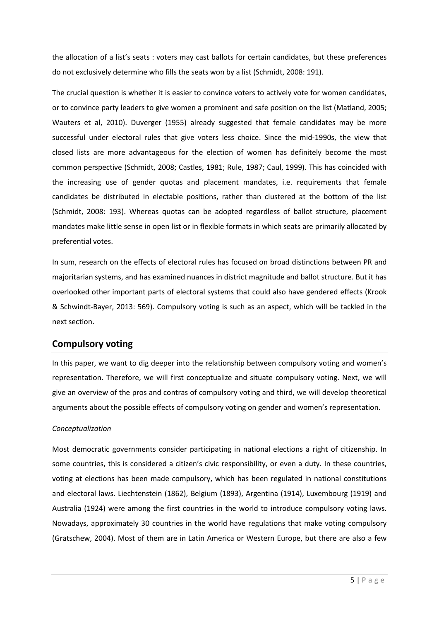the allocation of a list's seats : voters may cast ballots for certain candidates, but these preferences do not exclusively determine who fills the seats won by a list (Schmidt, 2008: 191).

The crucial question is whether it is easier to convince voters to actively vote for women candidates, or to convince party leaders to give women a prominent and safe position on the list (Matland, 2005; Wauters et al, 2010). Duverger (1955) already suggested that female candidates may be more successful under electoral rules that give voters less choice. Since the mid-1990s, the view that closed lists are more advantageous for the election of women has definitely become the most common perspective (Schmidt, 2008; Castles, 1981; Rule, 1987; Caul, 1999). This has coincided with the increasing use of gender quotas and placement mandates, i.e. requirements that female candidates be distributed in electable positions, rather than clustered at the bottom of the list (Schmidt, 2008: 193). Whereas quotas can be adopted regardless of ballot structure, placement mandates make little sense in open list or in flexible formats in which seats are primarily allocated by preferential votes.

In sum, research on the effects of electoral rules has focused on broad distinctions between PR and majoritarian systems, and has examined nuances in district magnitude and ballot structure. But it has overlooked other important parts of electoral systems that could also have gendered effects (Krook & Schwindt-Bayer, 2013: 569). Compulsory voting is such as an aspect, which will be tackled in the next section.

# **Compulsory voting**

In this paper, we want to dig deeper into the relationship between compulsory voting and women's representation. Therefore, we will first conceptualize and situate compulsory voting. Next, we will give an overview of the pros and contras of compulsory voting and third, we will develop theoretical arguments about the possible effects of compulsory voting on gender and women's representation.

# *Conceptualization*

Most democratic governments consider participating in national elections a right of citizenship. In some countries, this is considered a citizen's civic responsibility, or even a duty. In these countries, voting at elections has been made compulsory, which has been regulated in national constitutions and electoral laws. Liechtenstein (1862), Belgium (1893), Argentina (1914), Luxembourg (1919) and Australia (1924) were among the first countries in the world to introduce compulsory voting laws. Nowadays, approximately 30 countries in the world have regulations that make voting compulsory (Gratschew, 2004). Most of them are in Latin America or Western Europe, but there are also a few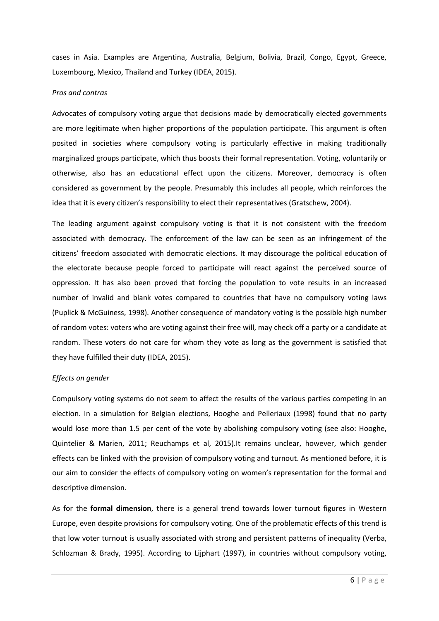cases in Asia. Examples are Argentina, Australia, Belgium, Bolivia, Brazil, Congo, Egypt, Greece, Luxembourg, Mexico, Thailand and Turkey (IDEA, 2015).

#### *Pros and contras*

Advocates of compulsory voting argue that decisions made by democratically elected governments are more legitimate when higher proportions of the population participate. This argument is often posited in societies where compulsory voting is particularly effective in making traditionally marginalized groups participate, which thus boosts their formal representation. Voting, voluntarily or otherwise, also has an educational effect upon the citizens. Moreover, democracy is often considered as government by the people. Presumably this includes all people, which reinforces the idea that it is every citizen's responsibility to elect their representatives (Gratschew, 2004).

The leading argument against compulsory voting is that it is not consistent with the freedom associated with democracy. The enforcement of the law can be seen as an infringement of the citizens' freedom associated with democratic elections. It may discourage the political education of the electorate because people forced to participate will react against the perceived source of oppression. It has also been proved that forcing the population to vote results in an increased number of invalid and blank votes compared to countries that have no compulsory voting laws (Puplick & McGuiness, 1998). Another consequence of mandatory voting is the possible high number of random votes: voters who are voting against their free will, may check off a party or a candidate at random. These voters do not care for whom they vote as long as the government is satisfied that they have fulfilled their duty (IDEA, 2015).

#### *Effects on gender*

Compulsory voting systems do not seem to affect the results of the various parties competing in an election. In a simulation for Belgian elections, Hooghe and Pelleriaux (1998) found that no party would lose more than 1.5 per cent of the vote by abolishing compulsory voting (see also: Hooghe, Quintelier & Marien, 2011; Reuchamps et al, 2015).It remains unclear, however, which gender effects can be linked with the provision of compulsory voting and turnout. As mentioned before, it is our aim to consider the effects of compulsory voting on women's representation for the formal and descriptive dimension.

As for the **formal dimension**, there is a general trend towards lower turnout figures in Western Europe, even despite provisions for compulsory voting. One of the problematic effects of this trend is that low voter turnout is usually associated with strong and persistent patterns of inequality (Verba, Schlozman & Brady, 1995). According to Lijphart (1997), in countries without compulsory voting,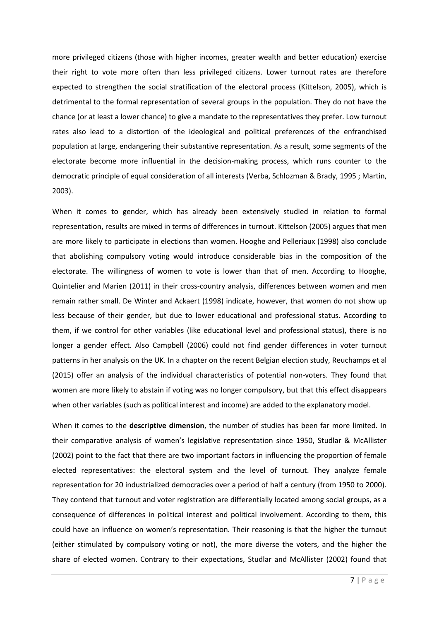more privileged citizens (those with higher incomes, greater wealth and better education) exercise their right to vote more often than less privileged citizens. Lower turnout rates are therefore expected to strengthen the social stratification of the electoral process (Kittelson, 2005), which is detrimental to the formal representation of several groups in the population. They do not have the chance (or at least a lower chance) to give a mandate to the representatives they prefer. Low turnout rates also lead to a distortion of the ideological and political preferences of the enfranchised population at large, endangering their substantive representation. As a result, some segments of the electorate become more influential in the decision-making process, which runs counter to the democratic principle of equal consideration of all interests (Verba, Schlozman & Brady, 1995 ; Martin, 2003).

When it comes to gender, which has already been extensively studied in relation to formal representation, results are mixed in terms of differences in turnout. Kittelson (2005) argues that men are more likely to participate in elections than women. Hooghe and Pelleriaux (1998) also conclude that abolishing compulsory voting would introduce considerable bias in the composition of the electorate. The willingness of women to vote is lower than that of men. According to Hooghe, Quintelier and Marien (2011) in their cross-country analysis, differences between women and men remain rather small. De Winter and Ackaert (1998) indicate, however, that women do not show up less because of their gender, but due to lower educational and professional status. According to them, if we control for other variables (like educational level and professional status), there is no longer a gender effect. Also Campbell (2006) could not find gender differences in voter turnout patterns in her analysis on the UK. In a chapter on the recent Belgian election study, Reuchamps et al (2015) offer an analysis of the individual characteristics of potential non-voters. They found that women are more likely to abstain if voting was no longer compulsory, but that this effect disappears when other variables (such as political interest and income) are added to the explanatory model.

When it comes to the **descriptive dimension**, the number of studies has been far more limited. In their comparative analysis of women's legislative representation since 1950, Studlar & McAllister (2002) point to the fact that there are two important factors in influencing the proportion of female elected representatives: the electoral system and the level of turnout. They analyze female representation for 20 industrialized democracies over a period of half a century (from 1950 to 2000). They contend that turnout and voter registration are differentially located among social groups, as a consequence of differences in political interest and political involvement. According to them, this could have an influence on women's representation. Their reasoning is that the higher the turnout (either stimulated by compulsory voting or not), the more diverse the voters, and the higher the share of elected women. Contrary to their expectations, Studlar and McAllister (2002) found that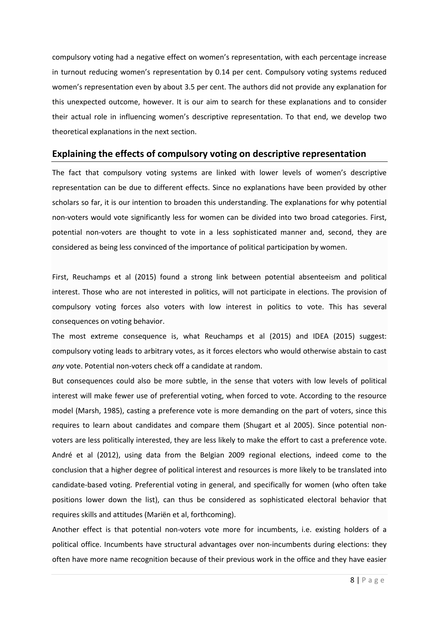compulsory voting had a negative effect on women's representation, with each percentage increase in turnout reducing women's representation by 0.14 per cent. Compulsory voting systems reduced women's representation even by about 3.5 per cent. The authors did not provide any explanation for this unexpected outcome, however. It is our aim to search for these explanations and to consider their actual role in influencing women's descriptive representation. To that end, we develop two theoretical explanations in the next section.

# **Explaining the effects of compulsory voting on descriptive representation**

The fact that compulsory voting systems are linked with lower levels of women's descriptive representation can be due to different effects. Since no explanations have been provided by other scholars so far, it is our intention to broaden this understanding. The explanations for why potential non-voters would vote significantly less for women can be divided into two broad categories. First, potential non-voters are thought to vote in a less sophisticated manner and, second, they are considered as being less convinced of the importance of political participation by women.

First, Reuchamps et al (2015) found a strong link between potential absenteeism and political interest. Those who are not interested in politics, will not participate in elections. The provision of compulsory voting forces also voters with low interest in politics to vote. This has several consequences on voting behavior.

The most extreme consequence is, what Reuchamps et al (2015) and IDEA (2015) suggest: compulsory voting leads to arbitrary votes, as it forces electors who would otherwise abstain to cast *any* vote. Potential non-voters check off a candidate at random.

But consequences could also be more subtle, in the sense that voters with low levels of political interest will make fewer use of preferential voting, when forced to vote. According to the resource model (Marsh, 1985), casting a preference vote is more demanding on the part of voters, since this requires to learn about candidates and compare them (Shugart et al 2005). Since potential nonvoters are less politically interested, they are less likely to make the effort to cast a preference vote. André et al (2012), using data from the Belgian 2009 regional elections, indeed come to the conclusion that a higher degree of political interest and resources is more likely to be translated into candidate-based voting. Preferential voting in general, and specifically for women (who often take positions lower down the list), can thus be considered as sophisticated electoral behavior that requires skills and attitudes (Mariën et al, forthcoming).

Another effect is that potential non-voters vote more for incumbents, i.e. existing holders of a political office. Incumbents have structural advantages over non-incumbents during elections: they often have more name recognition because of their previous work in the office and they have easier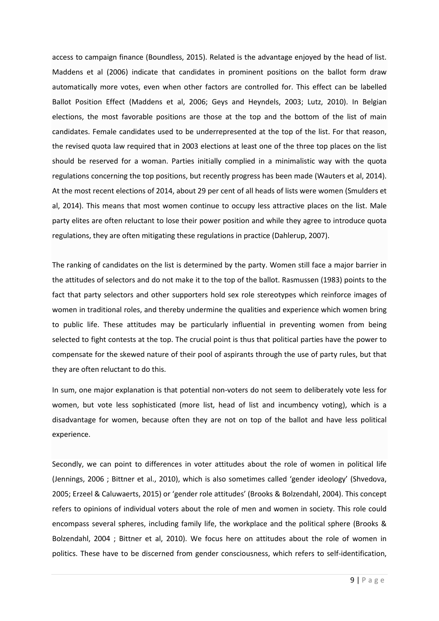access to campaign finance (Boundless, 2015). Related is the advantage enjoyed by the head of list. Maddens et al (2006) indicate that candidates in prominent positions on the ballot form draw automatically more votes, even when other factors are controlled for. This effect can be labelled Ballot Position Effect (Maddens et al, 2006; Geys and Heyndels, 2003; Lutz, 2010). In Belgian elections, the most favorable positions are those at the top and the bottom of the list of main candidates. Female candidates used to be underrepresented at the top of the list. For that reason, the revised quota law required that in 2003 elections at least one of the three top places on the list should be reserved for a woman. Parties initially complied in a minimalistic way with the quota regulations concerning the top positions, but recently progress has been made (Wauters et al, 2014). At the most recent elections of 2014, about 29 per cent of all heads of lists were women (Smulders et al, 2014). This means that most women continue to occupy less attractive places on the list. Male party elites are often reluctant to lose their power position and while they agree to introduce quota regulations, they are often mitigating these regulations in practice (Dahlerup, 2007).

The ranking of candidates on the list is determined by the party. Women still face a major barrier in the attitudes of selectors and do not make it to the top of the ballot. Rasmussen (1983) points to the fact that party selectors and other supporters hold sex role stereotypes which reinforce images of women in traditional roles, and thereby undermine the qualities and experience which women bring to public life. These attitudes may be particularly influential in preventing women from being selected to fight contests at the top. The crucial point is thus that political parties have the power to compensate for the skewed nature of their pool of aspirants through the use of party rules, but that they are often reluctant to do this.

In sum, one major explanation is that potential non-voters do not seem to deliberately vote less for women, but vote less sophisticated (more list, head of list and incumbency voting), which is a disadvantage for women, because often they are not on top of the ballot and have less political experience.

Secondly, we can point to differences in voter attitudes about the role of women in political life (Jennings, 2006 ; Bittner et al., 2010), which is also sometimes called 'gender ideology' (Shvedova, 2005; Erzeel & Caluwaerts, 2015) or 'gender role attitudes' (Brooks & Bolzendahl, 2004). This concept refers to opinions of individual voters about the role of men and women in society. This role could encompass several spheres, including family life, the workplace and the political sphere (Brooks & Bolzendahl, 2004 ; Bittner et al, 2010). We focus here on attitudes about the role of women in politics. These have to be discerned from gender consciousness, which refers to self-identification,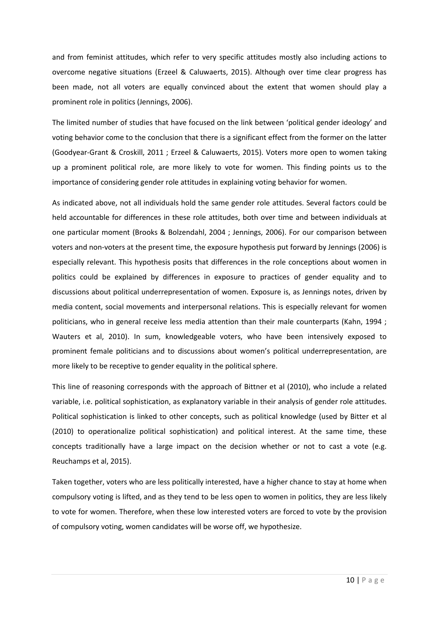and from feminist attitudes, which refer to very specific attitudes mostly also including actions to overcome negative situations (Erzeel & Caluwaerts, 2015). Although over time clear progress has been made, not all voters are equally convinced about the extent that women should play a prominent role in politics (Jennings, 2006).

The limited number of studies that have focused on the link between 'political gender ideology' and voting behavior come to the conclusion that there is a significant effect from the former on the latter (Goodyear-Grant & Croskill, 2011 ; Erzeel & Caluwaerts, 2015). Voters more open to women taking up a prominent political role, are more likely to vote for women. This finding points us to the importance of considering gender role attitudes in explaining voting behavior for women.

As indicated above, not all individuals hold the same gender role attitudes. Several factors could be held accountable for differences in these role attitudes, both over time and between individuals at one particular moment (Brooks & Bolzendahl, 2004 ; Jennings, 2006). For our comparison between voters and non-voters at the present time, the exposure hypothesis put forward by Jennings (2006) is especially relevant. This hypothesis posits that differences in the role conceptions about women in politics could be explained by differences in exposure to practices of gender equality and to discussions about political underrepresentation of women. Exposure is, as Jennings notes, driven by media content, social movements and interpersonal relations. This is especially relevant for women politicians, who in general receive less media attention than their male counterparts (Kahn, 1994 ; Wauters et al, 2010). In sum, knowledgeable voters, who have been intensively exposed to prominent female politicians and to discussions about women's political underrepresentation, are more likely to be receptive to gender equality in the political sphere.

This line of reasoning corresponds with the approach of Bittner et al (2010), who include a related variable, i.e. political sophistication, as explanatory variable in their analysis of gender role attitudes. Political sophistication is linked to other concepts, such as political knowledge (used by Bitter et al (2010) to operationalize political sophistication) and political interest. At the same time, these concepts traditionally have a large impact on the decision whether or not to cast a vote (e.g. Reuchamps et al, 2015).

Taken together, voters who are less politically interested, have a higher chance to stay at home when compulsory voting is lifted, and as they tend to be less open to women in politics, they are less likely to vote for women. Therefore, when these low interested voters are forced to vote by the provision of compulsory voting, women candidates will be worse off, we hypothesize.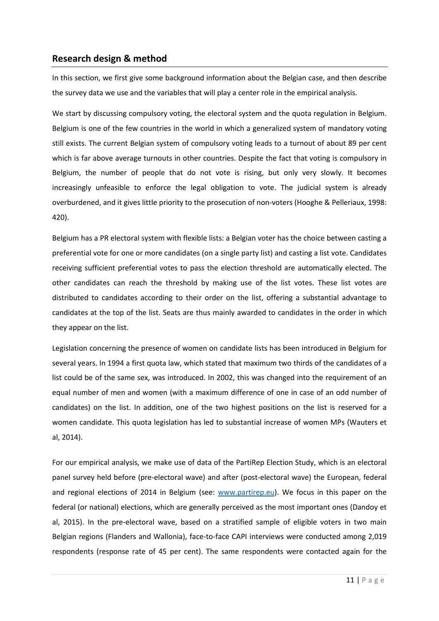# **Research design & method**

In this section, we first give some background information about the Belgian case, and then describe the survey data we use and the variables that will play a center role in the empirical analysis.

We start by discussing compulsory voting, the electoral system and the quota regulation in Belgium. Belgium is one of the few countries in the world in which a generalized system of mandatory voting still exists. The current Belgian system of compulsory voting leads to a turnout of about 89 per cent which is far above average turnouts in other countries. Despite the fact that voting is compulsory in Belgium, the number of people that do not vote is rising, but only very slowly. It becomes increasingly unfeasible to enforce the legal obligation to vote. The judicial system is already overburdened, and it gives little priority to the prosecution of non-voters (Hooghe & Pelleriaux, 1998: 420).

Belgium has a PR electoral system with flexible lists: a Belgian voter has the choice between casting a preferential vote for one or more candidates (on a single party list) and casting a list vote. Candidates receiving sufficient preferential votes to pass the election threshold are automatically elected. The other candidates can reach the threshold by making use of the list votes. These list votes are distributed to candidates according to their order on the list, offering a substantial advantage to candidates at the top of the list. Seats are thus mainly awarded to candidates in the order in which they appear on the list.

Legislation concerning the presence of women on candidate lists has been introduced in Belgium for several years. In 1994 a first quota law, which stated that maximum two thirds of the candidates of a list could be of the same sex, was introduced. In 2002, this was changed into the requirement of an equal number of men and women (with a maximum difference of one in case of an odd number of candidates) on the list. In addition, one of the two highest positions on the list is reserved for a women candidate. This quota legislation has led to substantial increase of women MPs (Wauters et al, 2014).

For our empirical analysis, we make use of data of the PartiRep Election Study, which is an electoral panel survey held before (pre-electoral wave) and after (post-electoral wave) the European, federal and regional elections of 2014 in Belgium (see: www.partirep.eu). We focus in this paper on the federal (or national) elections, which are generally perceived as the most important ones (Dandoy et al, 2015). In the pre-electoral wave, based on a stratified sample of eligible voters in two main Belgian regions (Flanders and Wallonia), face-to-face CAPI interviews were conducted among 2,019 respondents (response rate of 45 per cent). The same respondents were contacted again for the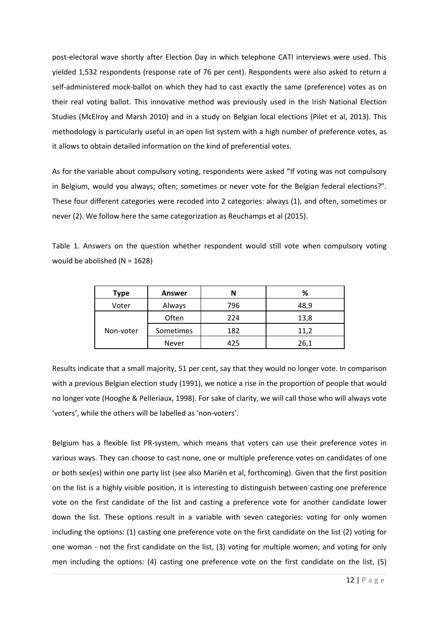post-electoral wave shortly after Election Day in which telephone CATI interviews were used. This yielded 1,532 respondents (response rate of 76 per cent). Respondents were also asked to return a self-administered mock-ballot on which they had to cast exactly the same (preference) votes as on their real voting ballot. This innovative method was previously used in the Irish National Election Studies (McElroy and Marsh 2010) and in a study on Belgian local elections (Pilet et al, 2013). This methodology is particularly useful in an open list system with a high number of preference votes, as it allows to obtain detailed information on the kind of preferential votes.

As for the variable about compulsory voting, respondents were asked "If voting was not compulsory in Belgium, would you always; often; sometimes or never vote for the Belgian federal elections?". These four different categories were recoded into 2 categories: always (1), and often, sometimes or never (2). We follow here the same categorization as Reuchamps et al (2015).

Table 1. Answers on the question whether respondent would still vote when compulsory voting would be abolished (N = 1628)

| Type      | <b>Answer</b> |     | %    |
|-----------|---------------|-----|------|
| Voter     | Always        | 796 | 48,9 |
| Non-voter | Often         | 224 | 13,8 |
|           | Sometimes     | 182 | 11,2 |
|           | <b>Never</b>  | 425 | 26,1 |

Results indicate that a small majority, 51 per cent, say that they would no longer vote. In comparison with a previous Belgian election study (1991), we notice a rise in the proportion of people that would no longer vote (Hooghe & Pelleriaux, 1998). For sake of clarity, we will call those who will always vote 'voters', while the others will be labelled as 'non-voters'.

Belgium has a flexible list PR-system, which means that voters can use their preference votes in various ways. They can choose to cast none, one or multiple preference votes on candidates of one or both sex(es) within one party list (see also Mariën et al, forthcoming). Given that the first position on the list is a highly visible position, it is interesting to distinguish between casting one preference vote on the first candidate of the list and casting a preference vote for another candidate lower down the list. These options result in a variable with seven categories: voting for only women including the options: (1) casting one preference vote on the first candidate on the list (2) voting for one woman - not the first candidate on the list, (3) voting for multiple women; and voting for only men including the options: (4) casting one preference vote on the first candidate on the list, (5)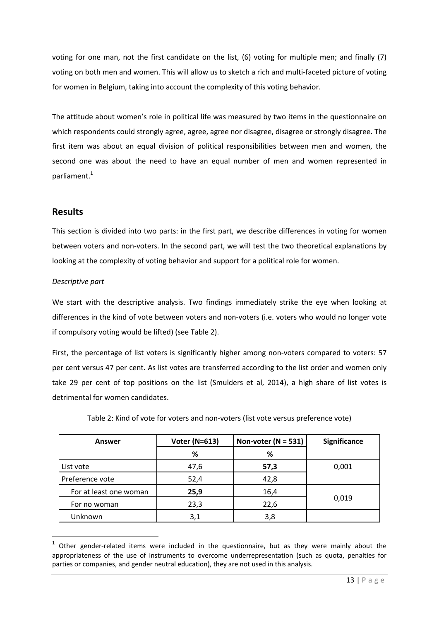voting for one man, not the first candidate on the list, (6) voting for multiple men; and finally (7) voting on both men and women. This will allow us to sketch a rich and multi-faceted picture of voting for women in Belgium, taking into account the complexity of this voting behavior.

The attitude about women's role in political life was measured by two items in the questionnaire on which respondents could strongly agree, agree, agree nor disagree, disagree or strongly disagree. The first item was about an equal division of political responsibilities between men and women, the second one was about the need to have an equal number of men and women represented in parliament.<sup>1</sup>

# **Results**

This section is divided into two parts: in the first part, we describe differences in voting for women between voters and non-voters. In the second part, we will test the two theoretical explanations by looking at the complexity of voting behavior and support for a political role for women.

## *Descriptive part*

We start with the descriptive analysis. Two findings immediately strike the eye when looking at differences in the kind of vote between voters and non-voters (i.e. voters who would no longer vote if compulsory voting would be lifted) (see Table 2).

First, the percentage of list voters is significantly higher among non-voters compared to voters: 57 per cent versus 47 per cent. As list votes are transferred according to the list order and women only take 29 per cent of top positions on the list (Smulders et al, 2014), a high share of list votes is detrimental for women candidates.

| Answer                 | <b>Voter (N=613)</b> | Non-voter ( $N = 531$ ) | Significance |  |
|------------------------|----------------------|-------------------------|--------------|--|
|                        | %                    | %                       |              |  |
| List vote              | 47,6                 | 57,3                    | 0,001        |  |
| Preference vote        | 52,4                 | 42,8                    |              |  |
| For at least one woman | 25,9                 | 16,4                    | 0,019        |  |
| For no woman           | 23,3                 | 22,6                    |              |  |
| Unknown                | 3,1                  | 3,8                     |              |  |

Table 2: Kind of vote for voters and non-voters (list vote versus preference vote)

 $1$  Other gender-related items were included in the questionnaire, but as they were mainly about the appropriateness of the use of instruments to overcome underrepresentation (such as quota, penalties for parties or companies, and gender neutral education), they are not used in this analysis.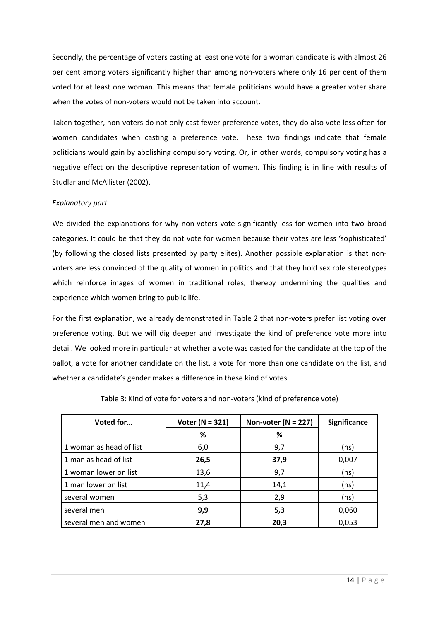Secondly, the percentage of voters casting at least one vote for a woman candidate is with almost 26 per cent among voters significantly higher than among non-voters where only 16 per cent of them voted for at least one woman. This means that female politicians would have a greater voter share when the votes of non-voters would not be taken into account.

Taken together, non-voters do not only cast fewer preference votes, they do also vote less often for women candidates when casting a preference vote. These two findings indicate that female politicians would gain by abolishing compulsory voting. Or, in other words, compulsory voting has a negative effect on the descriptive representation of women. This finding is in line with results of Studlar and McAllister (2002).

### *Explanatory part*

We divided the explanations for why non-voters vote significantly less for women into two broad categories. It could be that they do not vote for women because their votes are less 'sophisticated' (by following the closed lists presented by party elites). Another possible explanation is that nonvoters are less convinced of the quality of women in politics and that they hold sex role stereotypes which reinforce images of women in traditional roles, thereby undermining the qualities and experience which women bring to public life.

For the first explanation, we already demonstrated in Table 2 that non-voters prefer list voting over preference voting. But we will dig deeper and investigate the kind of preference vote more into detail. We looked more in particular at whether a vote was casted for the candidate at the top of the ballot, a vote for another candidate on the list, a vote for more than one candidate on the list, and whether a candidate's gender makes a difference in these kind of votes.

| Voted for               | Voter ( $N = 321$ ) | Non-voter ( $N = 227$ ) | <b>Significance</b> |  |  |
|-------------------------|---------------------|-------------------------|---------------------|--|--|
|                         | %                   | %                       |                     |  |  |
| 1 woman as head of list | 6,0                 | 9,7                     | (ns)                |  |  |
| 1 man as head of list   | 26,5                | 37,9                    | 0,007               |  |  |
| 1 woman lower on list   | 13,6                | 9,7                     | (ns)                |  |  |
| 1 man lower on list     | 11,4                | 14,1                    | (ns)                |  |  |
| several women           | 5,3                 | 2,9                     | (ns)                |  |  |
| several men             | 9,9                 | 5,3                     | 0,060               |  |  |
| several men and women   | 27,8                | 20,3                    | 0,053               |  |  |

Table 3: Kind of vote for voters and non-voters (kind of preference vote)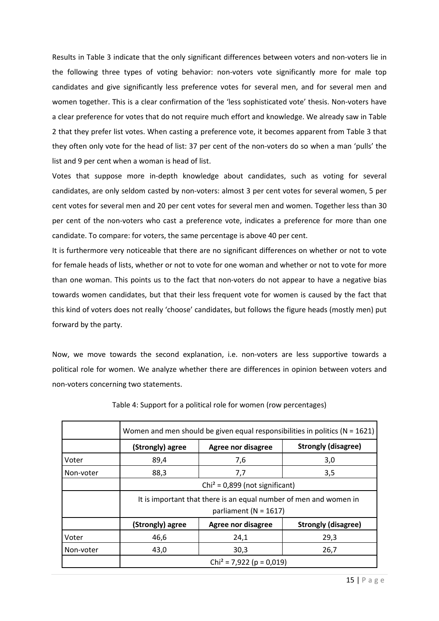Results in Table 3 indicate that the only significant differences between voters and non-voters lie in the following three types of voting behavior: non-voters vote significantly more for male top candidates and give significantly less preference votes for several men, and for several men and women together. This is a clear confirmation of the 'less sophisticated vote' thesis. Non-voters have a clear preference for votes that do not require much effort and knowledge. We already saw in Table 2 that they prefer list votes. When casting a preference vote, it becomes apparent from Table 3 that they often only vote for the head of list: 37 per cent of the non-voters do so when a man 'pulls' the list and 9 per cent when a woman is head of list.

Votes that suppose more in-depth knowledge about candidates, such as voting for several candidates, are only seldom casted by non-voters: almost 3 per cent votes for several women, 5 per cent votes for several men and 20 per cent votes for several men and women. Together less than 30 per cent of the non-voters who cast a preference vote, indicates a preference for more than one candidate. To compare: for voters, the same percentage is above 40 per cent.

It is furthermore very noticeable that there are no significant differences on whether or not to vote for female heads of lists, whether or not to vote for one woman and whether or not to vote for more than one woman. This points us to the fact that non-voters do not appear to have a negative bias towards women candidates, but that their less frequent vote for women is caused by the fact that this kind of voters does not really 'choose' candidates, but follows the figure heads (mostly men) put forward by the party.

Now, we move towards the second explanation, i.e. non-voters are less supportive towards a political role for women. We analyze whether there are differences in opinion between voters and non-voters concerning two statements.

|           | Women and men should be given equal responsibilities in politics ( $N = 1621$ )                |                    |                            |  |
|-----------|------------------------------------------------------------------------------------------------|--------------------|----------------------------|--|
|           | (Strongly) agree                                                                               | Agree nor disagree | <b>Strongly (disagree)</b> |  |
| Voter     | 89,4                                                                                           | 7,6                | 3,0                        |  |
| Non-voter | 88,3                                                                                           | 7,7                | 3,5                        |  |
|           | $Chi^2 = 0,899$ (not significant)                                                              |                    |                            |  |
|           | It is important that there is an equal number of men and women in<br>parliament ( $N = 1617$ ) |                    |                            |  |
|           | (Strongly) agree                                                                               | Agree nor disagree | <b>Strongly (disagree)</b> |  |
| Voter     | 46,6                                                                                           | 24,1               | 29,3                       |  |
| Non-voter | 43,0                                                                                           | 30,3               | 26,7                       |  |
|           | $Chi^2 = 7,922$ (p = 0,019)                                                                    |                    |                            |  |

Table 4: Support for a political role for women (row percentages)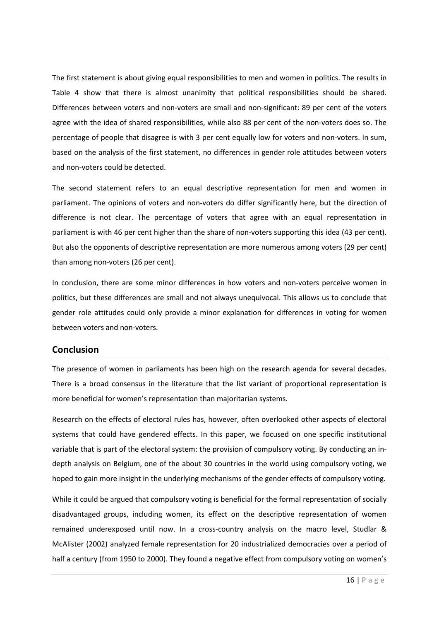The first statement is about giving equal responsibilities to men and women in politics. The results in Table 4 show that there is almost unanimity that political responsibilities should be shared. Differences between voters and non-voters are small and non-significant: 89 per cent of the voters agree with the idea of shared responsibilities, while also 88 per cent of the non-voters does so. The percentage of people that disagree is with 3 per cent equally low for voters and non-voters. In sum, based on the analysis of the first statement, no differences in gender role attitudes between voters and non-voters could be detected.

The second statement refers to an equal descriptive representation for men and women in parliament. The opinions of voters and non-voters do differ significantly here, but the direction of difference is not clear. The percentage of voters that agree with an equal representation in parliament is with 46 per cent higher than the share of non-voters supporting this idea (43 per cent). But also the opponents of descriptive representation are more numerous among voters (29 per cent) than among non-voters (26 per cent).

In conclusion, there are some minor differences in how voters and non-voters perceive women in politics, but these differences are small and not always unequivocal. This allows us to conclude that gender role attitudes could only provide a minor explanation for differences in voting for women between voters and non-voters.

## **Conclusion**

The presence of women in parliaments has been high on the research agenda for several decades. There is a broad consensus in the literature that the list variant of proportional representation is more beneficial for women's representation than majoritarian systems.

Research on the effects of electoral rules has, however, often overlooked other aspects of electoral systems that could have gendered effects. In this paper, we focused on one specific institutional variable that is part of the electoral system: the provision of compulsory voting. By conducting an indepth analysis on Belgium, one of the about 30 countries in the world using compulsory voting, we hoped to gain more insight in the underlying mechanisms of the gender effects of compulsory voting.

While it could be argued that compulsory voting is beneficial for the formal representation of socially disadvantaged groups, including women, its effect on the descriptive representation of women remained underexposed until now. In a cross-country analysis on the macro level, Studlar & McAlister (2002) analyzed female representation for 20 industrialized democracies over a period of half a century (from 1950 to 2000). They found a negative effect from compulsory voting on women's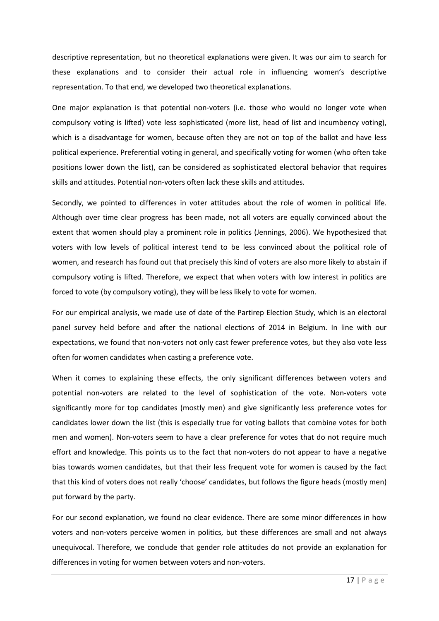descriptive representation, but no theoretical explanations were given. It was our aim to search for these explanations and to consider their actual role in influencing women's descriptive representation. To that end, we developed two theoretical explanations.

One major explanation is that potential non-voters (i.e. those who would no longer vote when compulsory voting is lifted) vote less sophisticated (more list, head of list and incumbency voting), which is a disadvantage for women, because often they are not on top of the ballot and have less political experience. Preferential voting in general, and specifically voting for women (who often take positions lower down the list), can be considered as sophisticated electoral behavior that requires skills and attitudes. Potential non-voters often lack these skills and attitudes.

Secondly, we pointed to differences in voter attitudes about the role of women in political life. Although over time clear progress has been made, not all voters are equally convinced about the extent that women should play a prominent role in politics (Jennings, 2006). We hypothesized that voters with low levels of political interest tend to be less convinced about the political role of women, and research has found out that precisely this kind of voters are also more likely to abstain if compulsory voting is lifted. Therefore, we expect that when voters with low interest in politics are forced to vote (by compulsory voting), they will be less likely to vote for women.

For our empirical analysis, we made use of date of the Partirep Election Study, which is an electoral panel survey held before and after the national elections of 2014 in Belgium. In line with our expectations, we found that non-voters not only cast fewer preference votes, but they also vote less often for women candidates when casting a preference vote.

When it comes to explaining these effects, the only significant differences between voters and potential non-voters are related to the level of sophistication of the vote. Non-voters vote significantly more for top candidates (mostly men) and give significantly less preference votes for candidates lower down the list (this is especially true for voting ballots that combine votes for both men and women). Non-voters seem to have a clear preference for votes that do not require much effort and knowledge. This points us to the fact that non-voters do not appear to have a negative bias towards women candidates, but that their less frequent vote for women is caused by the fact that this kind of voters does not really 'choose' candidates, but follows the figure heads (mostly men) put forward by the party.

For our second explanation, we found no clear evidence. There are some minor differences in how voters and non-voters perceive women in politics, but these differences are small and not always unequivocal. Therefore, we conclude that gender role attitudes do not provide an explanation for differences in voting for women between voters and non-voters.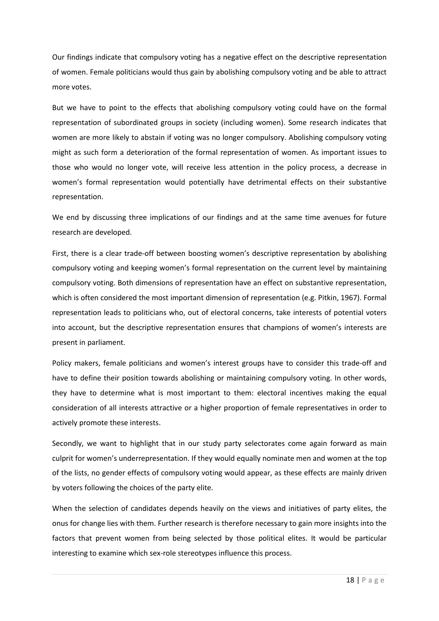Our findings indicate that compulsory voting has a negative effect on the descriptive representation of women. Female politicians would thus gain by abolishing compulsory voting and be able to attract more votes.

But we have to point to the effects that abolishing compulsory voting could have on the formal representation of subordinated groups in society (including women). Some research indicates that women are more likely to abstain if voting was no longer compulsory. Abolishing compulsory voting might as such form a deterioration of the formal representation of women. As important issues to those who would no longer vote, will receive less attention in the policy process, a decrease in women's formal representation would potentially have detrimental effects on their substantive representation.

We end by discussing three implications of our findings and at the same time avenues for future research are developed.

First, there is a clear trade-off between boosting women's descriptive representation by abolishing compulsory voting and keeping women's formal representation on the current level by maintaining compulsory voting. Both dimensions of representation have an effect on substantive representation, which is often considered the most important dimension of representation (e.g. Pitkin, 1967). Formal representation leads to politicians who, out of electoral concerns, take interests of potential voters into account, but the descriptive representation ensures that champions of women's interests are present in parliament.

Policy makers, female politicians and women's interest groups have to consider this trade-off and have to define their position towards abolishing or maintaining compulsory voting. In other words, they have to determine what is most important to them: electoral incentives making the equal consideration of all interests attractive or a higher proportion of female representatives in order to actively promote these interests.

Secondly, we want to highlight that in our study party selectorates come again forward as main culprit for women's underrepresentation. If they would equally nominate men and women at the top of the lists, no gender effects of compulsory voting would appear, as these effects are mainly driven by voters following the choices of the party elite.

When the selection of candidates depends heavily on the views and initiatives of party elites, the onus for change lies with them. Further research is therefore necessary to gain more insights into the factors that prevent women from being selected by those political elites. It would be particular interesting to examine which sex-role stereotypes influence this process.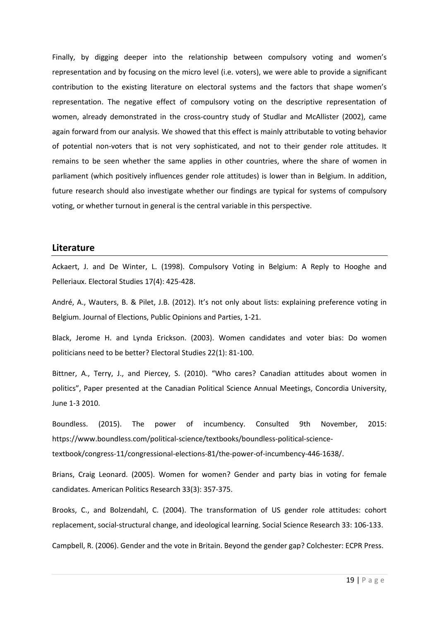Finally, by digging deeper into the relationship between compulsory voting and women's representation and by focusing on the micro level (i.e. voters), we were able to provide a significant contribution to the existing literature on electoral systems and the factors that shape women's representation. The negative effect of compulsory voting on the descriptive representation of women, already demonstrated in the cross-country study of Studlar and McAllister (2002), came again forward from our analysis. We showed that this effect is mainly attributable to voting behavior of potential non-voters that is not very sophisticated, and not to their gender role attitudes. It remains to be seen whether the same applies in other countries, where the share of women in parliament (which positively influences gender role attitudes) is lower than in Belgium. In addition, future research should also investigate whether our findings are typical for systems of compulsory voting, or whether turnout in general is the central variable in this perspective.

#### **Literature**

Ackaert, J. and De Winter, L. (1998). Compulsory Voting in Belgium: A Reply to Hooghe and Pelleriaux. Electoral Studies 17(4): 425-428.

André, A., Wauters, B. & Pilet, J.B. (2012). It's not only about lists: explaining preference voting in Belgium. Journal of Elections, Public Opinions and Parties, 1-21.

Black, Jerome H. and Lynda Erickson. (2003). Women candidates and voter bias: Do women politicians need to be better? Electoral Studies 22(1): 81-100.

Bittner, A., Terry, J., and Piercey, S. (2010). "Who cares? Canadian attitudes about women in politics", Paper presented at the Canadian Political Science Annual Meetings, Concordia University, June 1-3 2010.

Boundless. (2015). The power of incumbency. Consulted 9th November, 2015: https://www.boundless.com/political-science/textbooks/boundless-political-sciencetextbook/congress-11/congressional-elections-81/the-power-of-incumbency-446-1638/.

Brians, Craig Leonard. (2005). Women for women? Gender and party bias in voting for female candidates. American Politics Research 33(3): 357-375.

Brooks, C., and Bolzendahl, C. (2004). The transformation of US gender role attitudes: cohort replacement, social-structural change, and ideological learning. Social Science Research 33: 106-133.

Campbell, R. (2006). Gender and the vote in Britain. Beyond the gender gap? Colchester: ECPR Press.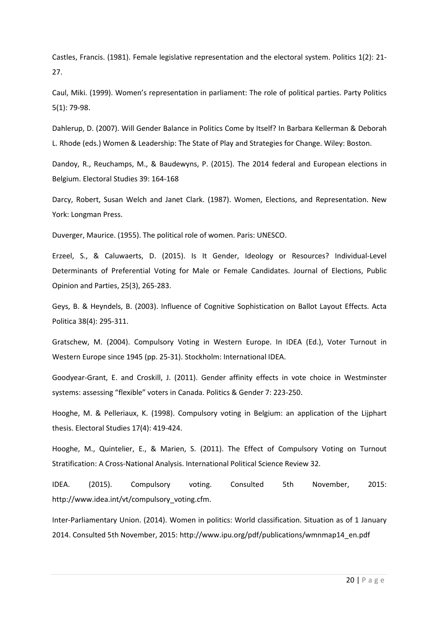Castles, Francis. (1981). Female legislative representation and the electoral system. Politics 1(2): 21- 27.

Caul, Miki. (1999). Women's representation in parliament: The role of political parties. Party Politics 5(1): 79-98.

Dahlerup, D. (2007). Will Gender Balance in Politics Come by Itself? In Barbara Kellerman & Deborah L. Rhode (eds.) Women & Leadership: The State of Play and Strategies for Change. Wiley: Boston.

Dandoy, R., Reuchamps, M., & Baudewyns, P. (2015). The 2014 federal and European elections in Belgium. Electoral Studies 39: 164-168

Darcy, Robert, Susan Welch and Janet Clark. (1987). Women, Elections, and Representation. New York: Longman Press.

Duverger, Maurice. (1955). The political role of women. Paris: UNESCO.

Erzeel, S., & Caluwaerts, D. (2015). Is It Gender, Ideology or Resources? Individual-Level Determinants of Preferential Voting for Male or Female Candidates. Journal of Elections, Public Opinion and Parties, 25(3), 265-283.

Geys, B. & Heyndels, B. (2003). Influence of Cognitive Sophistication on Ballot Layout Effects. Acta Politica 38(4): 295-311.

Gratschew, M. (2004). Compulsory Voting in Western Europe. In IDEA (Ed.), Voter Turnout in Western Europe since 1945 (pp. 25-31). Stockholm: International IDEA.

Goodyear-Grant, E. and Croskill, J. (2011). Gender affinity effects in vote choice in Westminster systems: assessing "flexible" voters in Canada. Politics & Gender 7: 223-250.

Hooghe, M. & Pelleriaux, K. (1998). Compulsory voting in Belgium: an application of the Lijphart thesis. Electoral Studies 17(4): 419-424.

Hooghe, M., Quintelier, E., & Marien, S. (2011). The Effect of Compulsory Voting on Turnout Stratification: A Cross-National Analysis. International Political Science Review 32.

IDEA. (2015). Compulsory voting. Consulted 5th November, 2015: http://www.idea.int/vt/compulsory\_voting.cfm.

Inter-Parliamentary Union. (2014). Women in politics: World classification. Situation as of 1 January 2014. Consulted 5th November, 2015: http://www.ipu.org/pdf/publications/wmnmap14\_en.pdf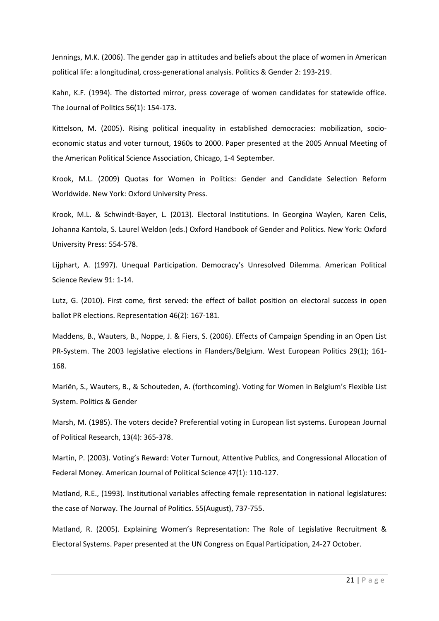Jennings, M.K. (2006). The gender gap in attitudes and beliefs about the place of women in American political life: a longitudinal, cross-generational analysis. Politics & Gender 2: 193-219.

Kahn, K.F. (1994). The distorted mirror, press coverage of women candidates for statewide office. The Journal of Politics 56(1): 154-173.

Kittelson, M. (2005). Rising political inequality in established democracies: mobilization, socioeconomic status and voter turnout, 1960s to 2000. Paper presented at the 2005 Annual Meeting of the American Political Science Association, Chicago, 1-4 September.

Krook, M.L. (2009) Quotas for Women in Politics: Gender and Candidate Selection Reform Worldwide. New York: Oxford University Press.

Krook, M.L. & Schwindt-Bayer, L. (2013). Electoral Institutions. In Georgina Waylen, Karen Celis, Johanna Kantola, S. Laurel Weldon (eds.) Oxford Handbook of Gender and Politics. New York: Oxford University Press: 554-578.

Lijphart, A. (1997). Unequal Participation. Democracy's Unresolved Dilemma. American Political Science Review 91: 1-14.

Lutz, G. (2010). First come, first served: the effect of ballot position on electoral success in open ballot PR elections. Representation 46(2): 167-181.

Maddens, B., Wauters, B., Noppe, J. & Fiers, S. (2006). Effects of Campaign Spending in an Open List PR-System. The 2003 legislative elections in Flanders/Belgium. West European Politics 29(1); 161- 168.

Mariën, S., Wauters, B., & Schouteden, A. (forthcoming). Voting for Women in Belgium's Flexible List System. Politics & Gender

Marsh, M. (1985). The voters decide? Preferential voting in European list systems. European Journal of Political Research, 13(4): 365-378.

Martin, P. (2003). Voting's Reward: Voter Turnout, Attentive Publics, and Congressional Allocation of Federal Money. American Journal of Political Science 47(1): 110-127.

Matland, R.E., (1993). Institutional variables affecting female representation in national legislatures: the case of Norway. The Journal of Politics. 55(August), 737-755.

Matland, R. (2005). Explaining Women's Representation: The Role of Legislative Recruitment & Electoral Systems. Paper presented at the UN Congress on Equal Participation, 24-27 October.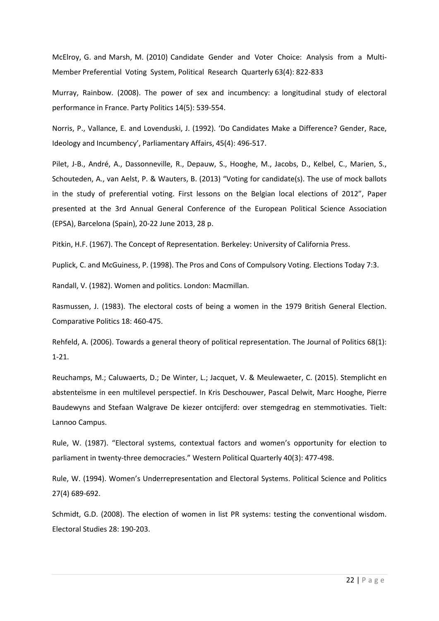McElroy, G. and Marsh, M. (2010) Candidate Gender and Voter Choice: Analysis from a Multi-Member Preferential Voting System, Political Research Quarterly 63(4): 822-833

Murray, Rainbow. (2008). The power of sex and incumbency: a longitudinal study of electoral performance in France. Party Politics 14(5): 539-554.

Norris, P., Vallance, E. and Lovenduski, J. (1992). 'Do Candidates Make a Difference? Gender, Race, Ideology and Incumbency', Parliamentary Affairs, 45(4): 496-517.

Pilet, J-B., André, A., Dassonneville, R., Depauw, S., Hooghe, M., Jacobs, D., Kelbel, C., Marien, S., Schouteden, A., van Aelst, P. & Wauters, B. (2013) "Voting for candidate(s). The use of mock ballots in the study of preferential voting. First lessons on the Belgian local elections of 2012", Paper presented at the 3rd Annual General Conference of the European Political Science Association (EPSA), Barcelona (Spain), 20-22 June 2013, 28 p.

Pitkin, H.F. (1967). The Concept of Representation. Berkeley: University of California Press.

Puplick, C. and McGuiness, P. (1998). The Pros and Cons of Compulsory Voting. Elections Today 7:3.

Randall, V. (1982). Women and politics. London: Macmillan.

Rasmussen, J. (1983). The electoral costs of being a women in the 1979 British General Election. Comparative Politics 18: 460-475.

Rehfeld, A. (2006). Towards a general theory of political representation. The Journal of Politics 68(1): 1-21.

Reuchamps, M.; Caluwaerts, D.; De Winter, L.; Jacquet, V. & Meulewaeter, C. (2015). Stemplicht en abstenteïsme in een multilevel perspectief. In Kris Deschouwer, Pascal Delwit, Marc Hooghe, Pierre Baudewyns and Stefaan Walgrave De kiezer ontcijferd: over stemgedrag en stemmotivaties. Tielt: Lannoo Campus.

Rule, W. (1987). "Electoral systems, contextual factors and women's opportunity for election to parliament in twenty-three democracies." Western Political Quarterly 40(3): 477-498.

Rule, W. (1994). Women's Underrepresentation and Electoral Systems. Political Science and Politics 27(4) 689-692.

Schmidt, G.D. (2008). The election of women in list PR systems: testing the conventional wisdom. Electoral Studies 28: 190-203.